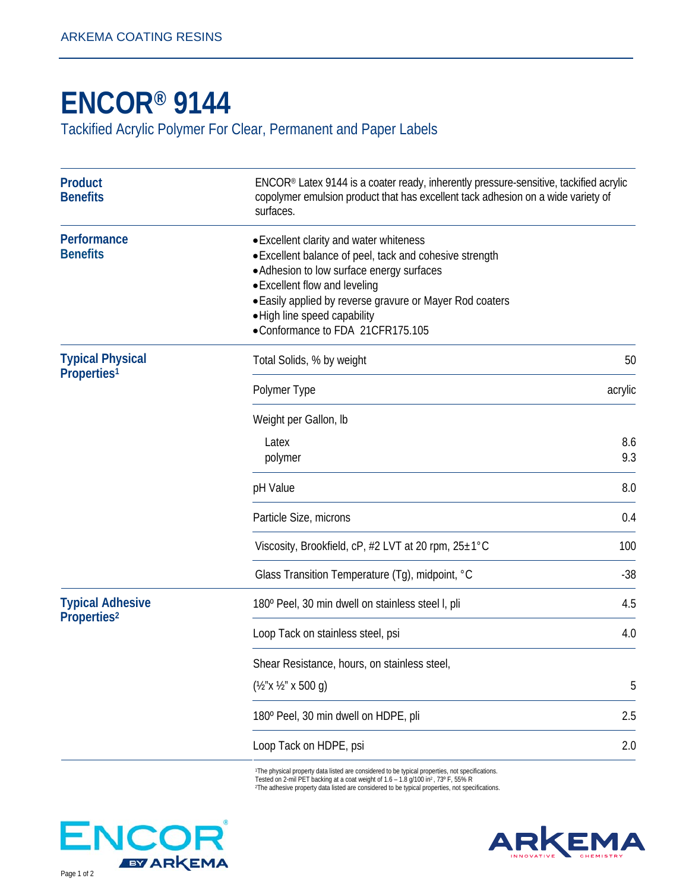## **ENCOR® 9144**

Tackified Acrylic Polymer For Clear, Permanent and Paper Labels

| <b>Product</b><br><b>Benefits</b>                  | ENCOR® Latex 9144 is a coater ready, inherently pressure-sensitive, tackified acrylic<br>copolymer emulsion product that has excellent tack adhesion on a wide variety of<br>surfaces.                                                                                                                           |            |
|----------------------------------------------------|------------------------------------------------------------------------------------------------------------------------------------------------------------------------------------------------------------------------------------------------------------------------------------------------------------------|------------|
| Performance<br><b>Benefits</b>                     | • Excellent clarity and water whiteness<br>· Excellent balance of peel, tack and cohesive strength<br>· Adhesion to low surface energy surfaces<br>• Excellent flow and leveling<br>• Easily applied by reverse gravure or Mayer Rod coaters<br>. High line speed capability<br>•Conformance to FDA 21CFR175.105 |            |
| <b>Typical Physical</b><br>Properties <sup>1</sup> | Total Solids, % by weight                                                                                                                                                                                                                                                                                        | 50         |
|                                                    | Polymer Type                                                                                                                                                                                                                                                                                                     | acrylic    |
|                                                    | Weight per Gallon, Ib<br>Latex<br>polymer                                                                                                                                                                                                                                                                        | 8.6<br>9.3 |
|                                                    | pH Value                                                                                                                                                                                                                                                                                                         | 8.0        |
|                                                    | Particle Size, microns                                                                                                                                                                                                                                                                                           | 0.4        |
|                                                    | Viscosity, Brookfield, cP, #2 LVT at 20 rpm, 25±1°C                                                                                                                                                                                                                                                              | 100        |
|                                                    | Glass Transition Temperature (Tg), midpoint, °C                                                                                                                                                                                                                                                                  | $-38$      |
| <b>Typical Adhesive</b><br>Properties <sup>2</sup> | 180° Peel, 30 min dwell on stainless steel I, pli                                                                                                                                                                                                                                                                | 4.5        |
|                                                    | Loop Tack on stainless steel, psi                                                                                                                                                                                                                                                                                | 4.0        |
|                                                    | Shear Resistance, hours, on stainless steel,<br>$(\frac{1}{2}x \frac{1}{2}x \times 500 \text{ g})$                                                                                                                                                                                                               | $\sqrt{5}$ |
|                                                    | 180° Peel, 30 min dwell on HDPE, pli                                                                                                                                                                                                                                                                             | 2.5        |
|                                                    | Loop Tack on HDPE, psi                                                                                                                                                                                                                                                                                           | 2.0        |

1The physical property data listed are considered to be typical properties, not specifications.<br>Tested on 2-mil PET backing at a coat weight of 1.6 – 1.8 g/100 in², 73° F, 55% R<br>ºThe adhesive property data listed are cons